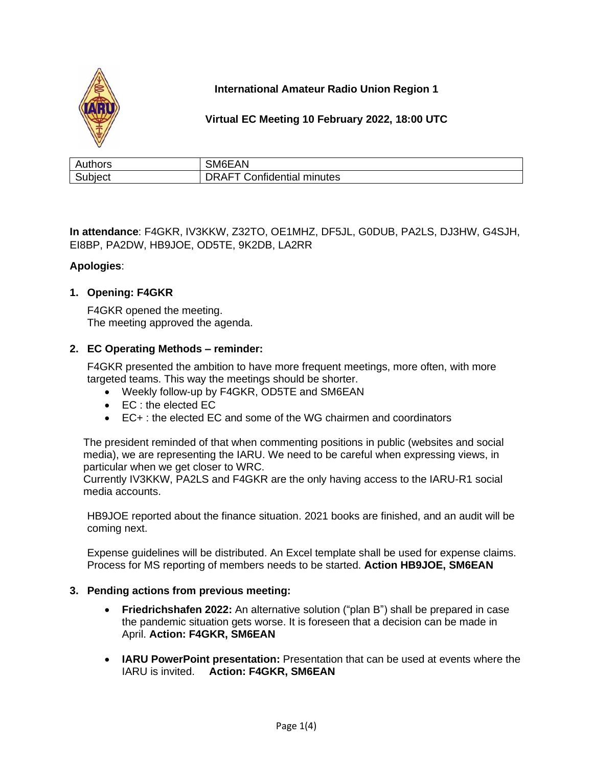

# **International Amateur Radio Union Region 1**

## **Virtual EC Meeting 10 February 2022, 18:00 UTC**

| Authors | SM6EAN                            |
|---------|-----------------------------------|
| Subject | <b>DRAFT Confidential minutes</b> |

**In attendance**: F4GKR, IV3KKW, Z32TO, OE1MHZ, DF5JL, G0DUB, PA2LS, DJ3HW, G4SJH, EI8BP, PA2DW, HB9JOE, OD5TE, 9K2DB, LA2RR

### **Apologies**:

### **1. Opening: F4GKR**

F4GKR opened the meeting. The meeting approved the agenda.

### **2. EC Operating Methods – reminder:**

F4GKR presented the ambition to have more frequent meetings, more often, with more targeted teams. This way the meetings should be shorter.

- Weekly follow-up by F4GKR, OD5TE and SM6EAN
- EC : the elected EC
- EC+ : the elected EC and some of the WG chairmen and coordinators

The president reminded of that when commenting positions in public (websites and social media), we are representing the IARU. We need to be careful when expressing views, in particular when we get closer to WRC.

Currently IV3KKW, PA2LS and F4GKR are the only having access to the IARU-R1 social media accounts.

HB9JOE reported about the finance situation. 2021 books are finished, and an audit will be coming next.

Expense guidelines will be distributed. An Excel template shall be used for expense claims. Process for MS reporting of members needs to be started. **Action HB9JOE, SM6EAN**

### **3. Pending actions from previous meeting:**

- **Friedrichshafen 2022:** An alternative solution ("plan B") shall be prepared in case the pandemic situation gets worse. It is foreseen that a decision can be made in April. **Action: F4GKR, SM6EAN**
- **IARU PowerPoint presentation:** Presentation that can be used at events where the IARU is invited. **Action: F4GKR, SM6EAN**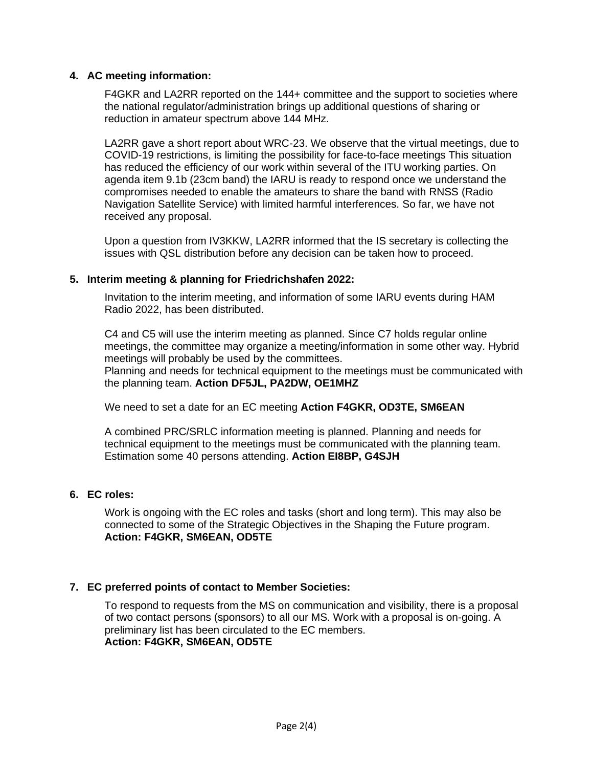### **4. AC meeting information:**

F4GKR and LA2RR reported on the 144+ committee and the support to societies where the national regulator/administration brings up additional questions of sharing or reduction in amateur spectrum above 144 MHz.

LA2RR gave a short report about WRC-23. We observe that the virtual meetings, due to COVID-19 restrictions, is limiting the possibility for face-to-face meetings This situation has reduced the efficiency of our work within several of the ITU working parties. On agenda item 9.1b (23cm band) the IARU is ready to respond once we understand the compromises needed to enable the amateurs to share the band with RNSS (Radio Navigation Satellite Service) with limited harmful interferences. So far, we have not received any proposal.

Upon a question from IV3KKW, LA2RR informed that the IS secretary is collecting the issues with QSL distribution before any decision can be taken how to proceed.

### **5. Interim meeting & planning for Friedrichshafen 2022:**

Invitation to the interim meeting, and information of some IARU events during HAM Radio 2022, has been distributed.

C4 and C5 will use the interim meeting as planned. Since C7 holds regular online meetings, the committee may organize a meeting/information in some other way. Hybrid meetings will probably be used by the committees. Planning and needs for technical equipment to the meetings must be communicated with the planning team. **Action DF5JL, PA2DW, OE1MHZ**

We need to set a date for an EC meeting **Action F4GKR, OD3TE, SM6EAN**

A combined PRC/SRLC information meeting is planned. Planning and needs for technical equipment to the meetings must be communicated with the planning team. Estimation some 40 persons attending. **Action EI8BP, G4SJH**

#### **6. EC roles:**

Work is ongoing with the EC roles and tasks (short and long term). This may also be connected to some of the Strategic Objectives in the Shaping the Future program. **Action: F4GKR, SM6EAN, OD5TE**

#### **7. EC preferred points of contact to Member Societies:**

To respond to requests from the MS on communication and visibility, there is a proposal of two contact persons (sponsors) to all our MS. Work with a proposal is on-going. A preliminary list has been circulated to the EC members. **Action: F4GKR, SM6EAN, OD5TE**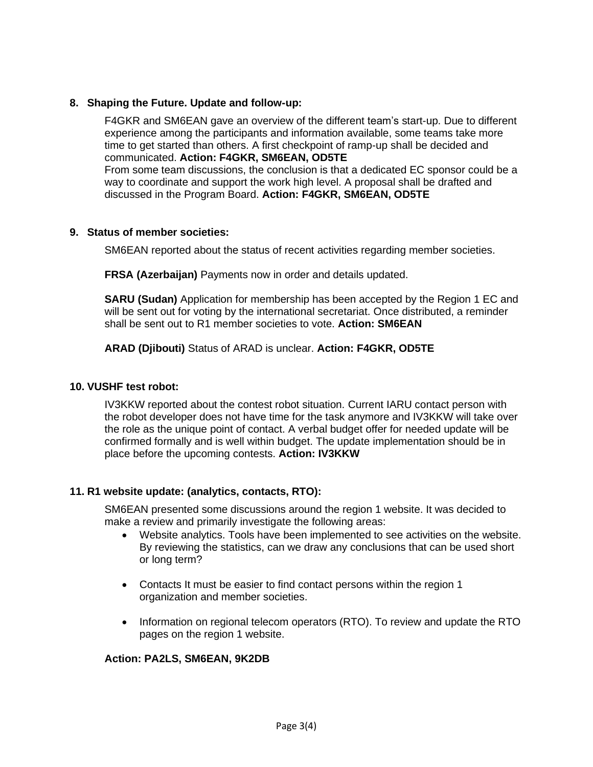### **8. Shaping the Future. Update and follow-up:**

F4GKR and SM6EAN gave an overview of the different team's start-up. Due to different experience among the participants and information available, some teams take more time to get started than others. A first checkpoint of ramp-up shall be decided and communicated. **Action: F4GKR, SM6EAN, OD5TE** From some team discussions, the conclusion is that a dedicated EC sponsor could be a way to coordinate and support the work high level. A proposal shall be drafted and discussed in the Program Board. **Action: F4GKR, SM6EAN, OD5TE**

### **9. Status of member societies:**

SM6EAN reported about the status of recent activities regarding member societies.

**FRSA (Azerbaijan)** Payments now in order and details updated.

**SARU (Sudan)** Application for membership has been accepted by the Region 1 EC and will be sent out for voting by the international secretariat. Once distributed, a reminder shall be sent out to R1 member societies to vote. **Action: SM6EAN**

**ARAD (Djibouti)** Status of ARAD is unclear. **Action: F4GKR, OD5TE**

#### **10. VUSHF test robot:**

IV3KKW reported about the contest robot situation. Current IARU contact person with the robot developer does not have time for the task anymore and IV3KKW will take over the role as the unique point of contact. A verbal budget offer for needed update will be confirmed formally and is well within budget. The update implementation should be in place before the upcoming contests. **Action: IV3KKW**

#### **11. R1 website update: (analytics, contacts, RTO):**

SM6EAN presented some discussions around the region 1 website. It was decided to make a review and primarily investigate the following areas:

- Website analytics. Tools have been implemented to see activities on the website. By reviewing the statistics, can we draw any conclusions that can be used short or long term?
- Contacts It must be easier to find contact persons within the region 1 organization and member societies.
- Information on regional telecom operators (RTO). To review and update the RTO pages on the region 1 website.

#### **Action: PA2LS, SM6EAN, 9K2DB**